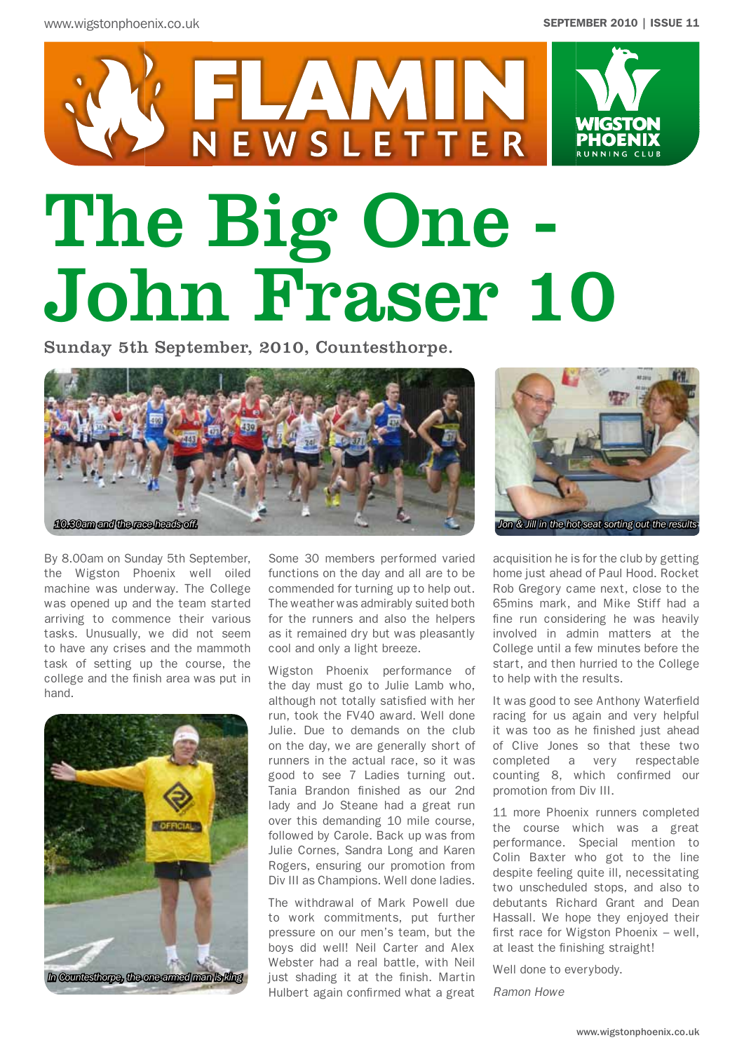

# The Big One - John Fraser 10

Sunday 5th September, 2010, Countesthorpe.



By 8.00am on Sunday 5th September, the Wigston Phoenix well oiled machine was underway. The College was opened up and the team started arriving to commence their various tasks. Unusually, we did not seem to have any crises and the mammoth task of setting up the course, the college and the finish area was put in hand.



Some 30 members performed varied functions on the day and all are to be commended for turning up to help out. The weather was admirably suited both for the runners and also the helpers as it remained dry but was pleasantly cool and only a light breeze.

Wigston Phoenix performance of the day must go to Julie Lamb who, although not totally satisfied with her run, took the FV40 award. Well done Julie. Due to demands on the club on the day, we are generally short of runners in the actual race, so it was good to see 7 Ladies turning out. Tania Brandon finished as our 2nd lady and Jo Steane had a great run over this demanding 10 mile course, followed by Carole. Back up was from Julie Cornes, Sandra Long and Karen Rogers, ensuring our promotion from Div III as Champions. Well done ladies.

The withdrawal of Mark Powell due to work commitments, put further pressure on our men's team, but the boys did well! Neil Carter and Alex Webster had a real battle, with Neil just shading it at the finish. Martin Hulbert again confirmed what a great



acquisition he is for the club by getting home just ahead of Paul Hood. Rocket Rob Gregory came next, close to the 65mins mark, and Mike Stiff had a fine run considering he was heavily involved in admin matters at the College until a few minutes before the start, and then hurried to the College to help with the results.

It was good to see Anthony Waterfield racing for us again and very helpful it was too as he finished just ahead of Clive Jones so that these two completed a very respectable counting 8, which confirmed our promotion from Div III.

11 more Phoenix runners completed the course which was a great performance. Special mention to Colin Baxter who got to the line despite feeling quite ill, necessitating two unscheduled stops, and also to debutants Richard Grant and Dean Hassall. We hope they enjoyed their first race for Wigston Phoenix – well, at least the finishing straight!

Well done to everybody.

*Ramon Howe*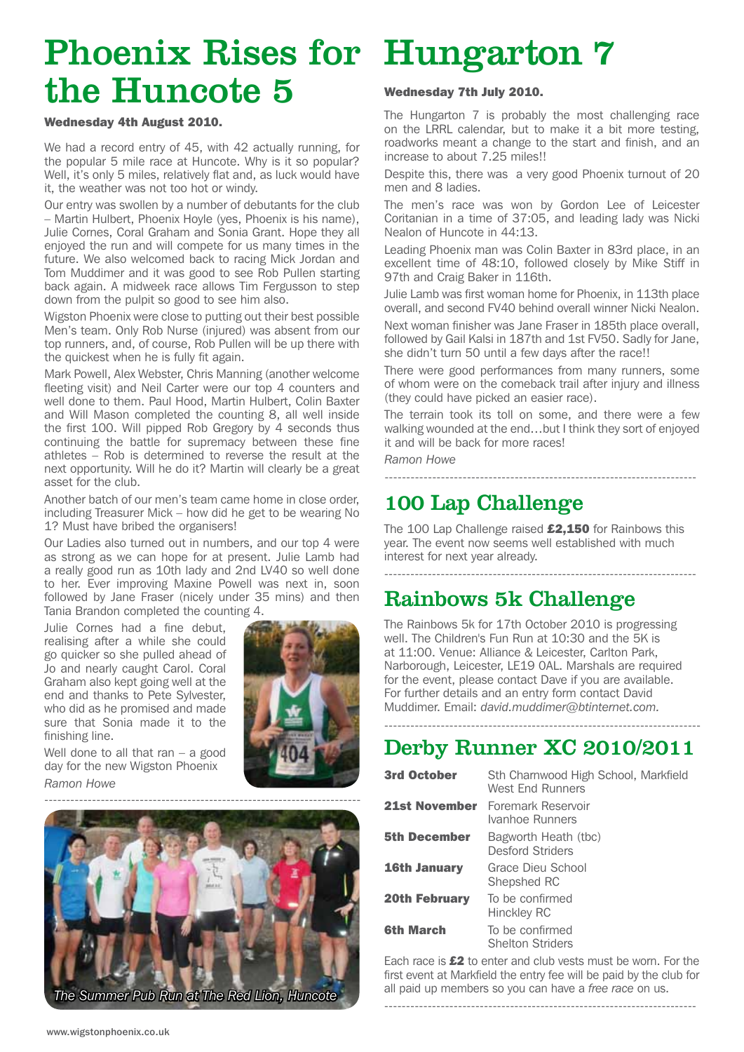## Phoenix Rises for Hungarton 7 the Huncote 5

#### Wednesday 4th August 2010.

We had a record entry of 45, with 42 actually running, for the popular 5 mile race at Huncote. Why is it so popular? Well, it's only 5 miles, relatively flat and, as luck would have it, the weather was not too hot or windy.

Our entry was swollen by a number of debutants for the club – Martin Hulbert, Phoenix Hoyle (yes, Phoenix is his name), Julie Cornes, Coral Graham and Sonia Grant. Hope they all enjoyed the run and will compete for us many times in the future. We also welcomed back to racing Mick Jordan and Tom Muddimer and it was good to see Rob Pullen starting back again. A midweek race allows Tim Fergusson to step down from the pulpit so good to see him also.

Wigston Phoenix were close to putting out their best possible Men's team. Only Rob Nurse (injured) was absent from our top runners, and, of course, Rob Pullen will be up there with the quickest when he is fully fit again.

Mark Powell, Alex Webster, Chris Manning (another welcome fleeting visit) and Neil Carter were our top 4 counters and well done to them. Paul Hood, Martin Hulbert, Colin Baxter and Will Mason completed the counting 8, all well inside the first 100. Will pipped Rob Gregory by 4 seconds thus continuing the battle for supremacy between these fine athletes – Rob is determined to reverse the result at the next opportunity. Will he do it? Martin will clearly be a great asset for the club.

Another batch of our men's team came home in close order, including Treasurer Mick – how did he get to be wearing No 1? Must have bribed the organisers!

Our Ladies also turned out in numbers, and our top 4 were as strong as we can hope for at present. Julie Lamb had a really good run as 10th lady and 2nd LV40 so well done to her. Ever improving Maxine Powell was next in, soon followed by Jane Fraser (nicely under 35 mins) and then Tania Brandon completed the counting 4.

Julie Cornes had a fine debut, realising after a while she could go quicker so she pulled ahead of Jo and nearly caught Carol. Coral Graham also kept going well at the end and thanks to Pete Sylvester, who did as he promised and made sure that Sonia made it to the finishing line.



Well done to all that  $ran - a$  good day for the new Wigston Phoenix *Ramon Howe*



#### Wednesday 7th July 2010.

The Hungarton 7 is probably the most challenging race on the LRRL calendar, but to make it a bit more testing, roadworks meant a change to the start and finish, and an increase to about 7.25 miles!!

Despite this, there was a very good Phoenix turnout of 20 men and 8 ladies.

The men's race was won by Gordon Lee of Leicester Coritanian in a time of 37:05, and leading lady was Nicki Nealon of Huncote in 44:13.

Leading Phoenix man was Colin Baxter in 83rd place, in an excellent time of 48:10, followed closely by Mike Stiff in 97th and Craig Baker in 116th.

Julie Lamb was first woman home for Phoenix, in 113th place overall, and second FV40 behind overall winner Nicki Nealon.

Next woman finisher was Jane Fraser in 185th place overall, followed by Gail Kalsi in 187th and 1st FV50. Sadly for Jane, she didn't turn 50 until a few days after the race!!

There were good performances from many runners, some of whom were on the comeback trail after injury and illness (they could have picked an easier race).

The terrain took its toll on some, and there were a few walking wounded at the end…but I think they sort of enjoyed it and will be back for more races!

------------------------------------------------------------------------

#### *Ramon Howe*

## 100 Lap Challenge

The 100 Lap Challenge raised £2,150 for Rainbows this year. The event now seems well established with much interest for next year already.

------------------------------------------------------------------------

## Rainbows 5k Challenge

The Rainbows 5k for 17th October 2010 is progressing well. The Children's Fun Run at 10:30 and the 5K is at 11:00. Venue: Alliance & Leicester, Carlton Park, Narborough, Leicester, LE19 0AL. Marshals are required for the event, please contact Dave if you are available. For further details and an entry form contact David Muddimer. Email: *david.muddimer@btinternet.com.*

### ------------------------------------------------------------------------- Derby Runner XC 2010/2011

| <b>3rd October</b>   | Sth Charnwood High School, Markfield<br>West Fnd Runners |
|----------------------|----------------------------------------------------------|
| <b>21st November</b> | Foremark Reservoir<br>Ivanhoe Runners                    |
| <b>5th December</b>  | Bagworth Heath (tbc)<br><b>Desford Striders</b>          |
| <b>16th January</b>  | Grace Dieu School<br>Shepshed RC                         |
| <b>20th February</b> | To be confirmed<br>Hinckley RC                           |
| <b>6th March</b>     | To be confirmed<br><b>Shelton Striders</b>               |

Each race is  $£2$  to enter and club vests must be worn. For the first event at Markfield the entry fee will be paid by the club for all paid up members so you can have a *free race* on us.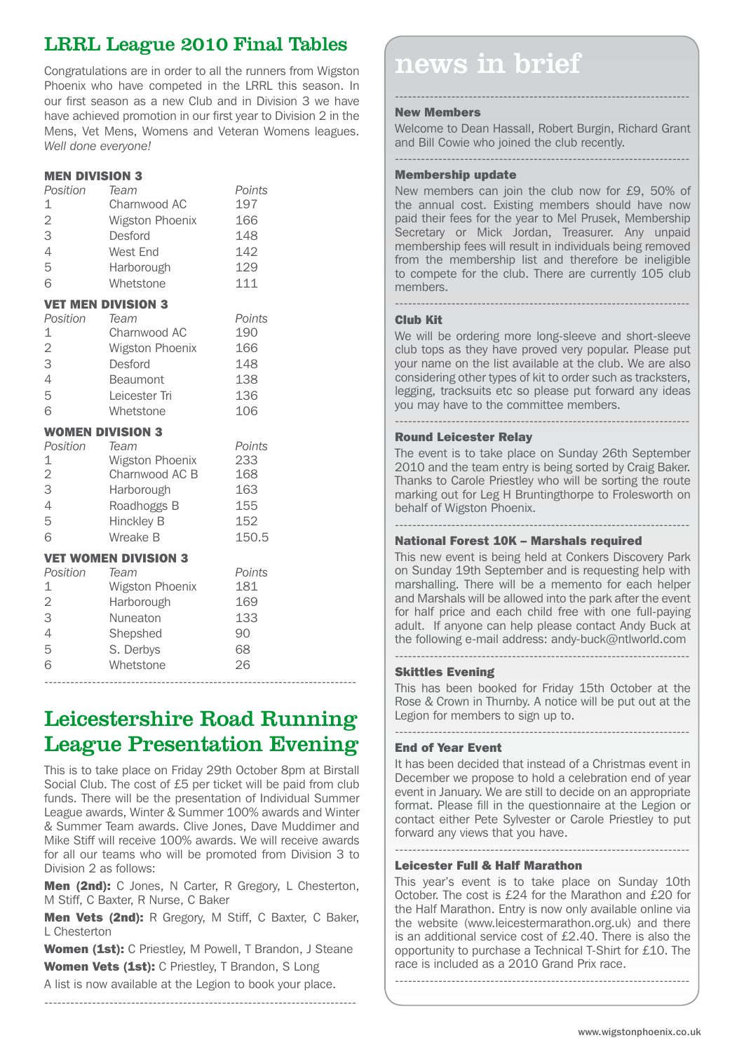## LRRL League 2010 Final Tables

Phoenix who have competed in the LRRL this season. In our first season as a new Club and in Division 3 we have have achieved promotion in our first year to Division 2 in the Mens, Vet Mens, Womens and Veteran Womens leagues. *Well done everyone!*

#### MEN DIVISION 3

| Position<br>1<br>$\overline{2}$<br>3<br>4<br>5<br>6 | Team<br>Charnwood AC<br>Wigston Phoenix<br>Desford<br>West End<br>Harborough<br>Whetstone               | Points<br>197<br>166<br>148<br>142<br>129<br>111   |
|-----------------------------------------------------|---------------------------------------------------------------------------------------------------------|----------------------------------------------------|
|                                                     | <b>VET MEN DIVISION 3</b>                                                                               |                                                    |
| Position<br>1<br>$\overline{2}$<br>3<br>4<br>5<br>6 | Team<br>Charnwood AC<br>Wigston Phoenix<br>Desford<br><b>Beaumont</b><br>Leicester Tri<br>Whetstone     | Points<br>190<br>166<br>148<br>138<br>136<br>106   |
| <b>WOMEN DIVISION 3</b>                             |                                                                                                         |                                                    |
|                                                     |                                                                                                         |                                                    |
| Position<br>1<br>$\overline{2}$<br>3<br>4<br>5<br>6 | Team<br>Wigston Phoenix<br>Charnwood AC B<br>Harborough<br>Roadhoggs B<br><b>Hinckley B</b><br>Wreake B | Points<br>233<br>168<br>163<br>155<br>152<br>150.5 |
|                                                     | <b>VET WOMEN DIVISION 3</b>                                                                             |                                                    |
| Position<br>1                                       | Team<br>Wigston Phoenix                                                                                 | Points<br>181                                      |
| $\overline{c}$                                      | Harborough                                                                                              | 169                                                |
| 3                                                   | Nuneaton                                                                                                | 133                                                |
| $\overline{4}$                                      | Shepshed                                                                                                | 90                                                 |
| 5<br>6                                              | S. Derbys<br>Whetstone                                                                                  | 68<br>26                                           |

## Leicestershire Road Running League Presentation Evening

------------------------------------------------------------------------

This is to take place on Friday 29th October 8pm at Birstall Social Club. The cost of £5 per ticket will be paid from club funds. There will be the presentation of Individual Summer League awards, Winter & Summer 100% awards and Winter & Summer Team awards. Clive Jones, Dave Muddimer and Mike Stiff will receive 100% awards. We will receive awards for all our teams who will be promoted from Division 3 to Division 2 as follows:

Men (2nd): C Jones, N Carter, R Gregory, L Chesterton, M Stiff, C Baxter, R Nurse, C Baker

Men Vets (2nd): R Gregory, M Stiff, C Baxter, C Baker, L Chesterton

Women (1st): C Priestley, M Powell, T Brandon, J Steane Women Vets (1st): C Priestley, T Brandon, S Long

------------------------------------------------------------------------

A list is now available at the Legion to book your place.

| V 3       |        |  |
|-----------|--------|--|
|           | Points |  |
| n Phoenix | 233    |  |
| ood AC B  | 168    |  |
| au ah     | 162    |  |

## $\frac{1}{2}$  Congratulations are in order to all the runners from Wigston  $\blacksquare$  news in brief

#### New Members

Welcome to Dean Hassall, Robert Burgin, Richard Grant and Bill Cowie who joined the club recently. --------------------------------------------------------------------

--------------------------------------------------------------------

#### Membership update

New members can join the club now for £9, 50% of the annual cost. Existing members should have now paid their fees for the year to Mel Prusek, Membership Secretary or Mick Jordan, Treasurer. Any unpaid membership fees will result in individuals being removed from the membership list and therefore be ineligible to compete for the club. There are currently 105 club members.

#### Club Kit

We will be ordering more long-sleeve and short-sleeve club tops as they have proved very popular. Please put your name on the list available at the club. We are also considering other types of kit to order such as tracksters, legging, tracksuits etc so please put forward any ideas you may have to the committee members.

--------------------------------------------------------------------

#### -------------------------------------------------------------------- Round Leicester Relay

The event is to take place on Sunday 26th September 2010 and the team entry is being sorted by Craig Baker. Thanks to Carole Priestley who will be sorting the route marking out for Leg H Bruntingthorpe to Frolesworth on behalf of Wigston Phoenix.

#### National Forest 10K – Marshals required

This new event is being held at Conkers Discovery Park on Sunday 19th September and is requesting help with marshalling. There will be a memento for each helper and Marshals will be allowed into the park after the event for half price and each child free with one full-paying adult. If anyone can help please contact Andy Buck at the following e-mail address: andy-buck@ntlworld.com --------------------------------------------------------------------

#### Skittles Evening

This has been booked for Friday 15th October at the Rose & Crown in Thurnby. A notice will be put out at the Legion for members to sign up to.

--------------------------------------------------------------------

#### End of Year Event

It has been decided that instead of a Christmas event in December we propose to hold a celebration end of year event in January. We are still to decide on an appropriate format. Please fill in the questionnaire at the Legion or contact either Pete Sylvester or Carole Priestley to put forward any views that you have.

#### -------------------------------------------------------------------- Leicester Full & Half Marathon

This year's event is to take place on Sunday 10th October. The cost is £24 for the Marathon and £20 for the Half Marathon. Entry is now only available online via the website (www.leicestermarathon.org.uk) and there is an additional service cost of £2.40. There is also the opportunity to purchase a Technical T-Shirt for £10. The race is included as a 2010 Grand Prix race.

--------------------------------------------------------------------